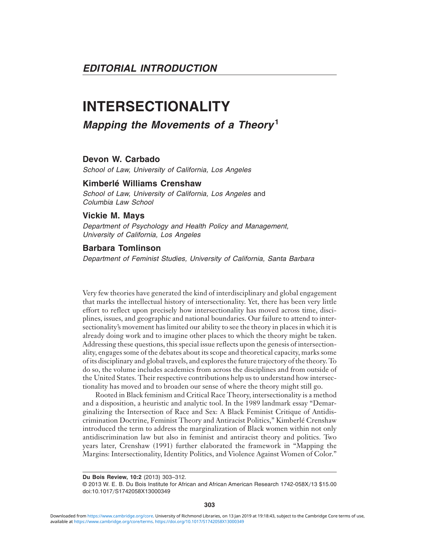# **INTERSECTIONALITY**

# *Mapping the Movements of a Theory***<sup>1</sup>**

# **Devon W. Carbado**

*School of Law, University of California, Los Angeles*

# **Kimberlé Williams Crenshaw**

*School of Law, University of California, Los Angeles* and *Columbia Law School*

### **Vickie M. Mays**

*Department of Psychology and Health Policy and Management, University of California, Los Angeles*

# **Barbara Tomlinson**

*Department of Feminist Studies, University of California, Santa Barbara*

Very few theories have generated the kind of interdisciplinary and global engagement that marks the intellectual history of intersectionality. Yet, there has been very little effort to reflect upon precisely how intersectionality has moved across time, disciplines, issues, and geographic and national boundaries. Our failure to attend to intersectionality's movement has limited our ability to see the theory in places in which it is already doing work and to imagine other places to which the theory might be taken. Addressing these questions, this special issue reflects upon the genesis of intersectionality, engages some of the debates about its scope and theoretical capacity, marks some of its disciplinary and global travels, and explores the future trajectory of the theory. To do so, the volume includes academics from across the disciplines and from outside of the United States. Their respective contributions help us to understand how intersectionality has moved and to broaden our sense of where the theory might still go.

Rooted in Black feminism and Critical Race Theory, intersectionality is a method and a disposition, a heuristic and analytic tool. In the 1989 landmark essay "Demarginalizing the Intersection of Race and Sex: A Black Feminist Critique of Antidiscrimination Doctrine, Feminist Theory and Antiracist Politics," Kimberlé Crenshaw introduced the term to address the marginalization of Black women within not only antidiscrimination law but also in feminist and antiracist theory and politics. Two years later, Crenshaw (1991) further elaborated the framework in "Mapping the Margins: Intersectionality, Identity Politics, and Violence Against Women of Color."

**Du Bois Review, 10:2** (2013) 303–312.

<sup>© 2013</sup> W. E. B. Du Bois Institute for African and African American Research 1742-058X/13 \$15.00 doi:10.1017/S1742058X13000349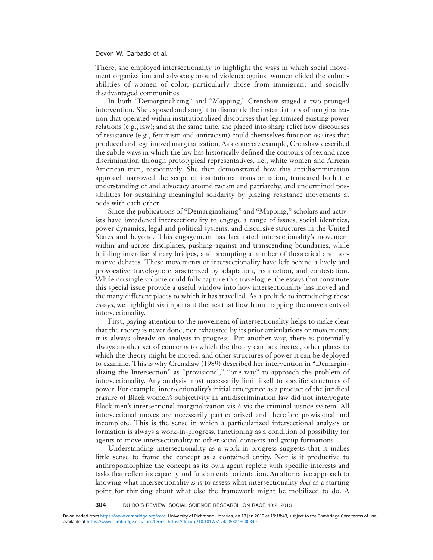There, she employed intersectionality to highlight the ways in which social movement organization and advocacy around violence against women elided the vulnerabilities of women of color, particularly those from immigrant and socially disadvantaged communities.

In both "Demarginalizing" and "Mapping," Crenshaw staged a two-pronged intervention. She exposed and sought to dismantle the instantiations of marginalization that operated within institutionalized discourses that legitimized existing power relations (e.g., law); and at the same time, she placed into sharp relief how discourses of resistance  $(e.g.,$  feminism and antiracism) could themselves function as sites that produced and legitimized marginalization. As a concrete example, Crenshaw described the subtle ways in which the law has historically defined the contours of sex and race discrimination through prototypical representatives, i.e., white women and African American men, respectively. She then demonstrated how this antidiscrimination approach narrowed the scope of institutional transformation, truncated both the understanding of and advocacy around racism and patriarchy, and undermined possibilities for sustaining meaningful solidarity by placing resistance movements at odds with each other.

Since the publications of "Demarginalizing" and "Mapping," scholars and activists have broadened intersectionality to engage a range of issues, social identities, power dynamics, legal and political systems, and discursive structures in the United States and beyond. This engagement has facilitated intersectionality's movement within and across disciplines, pushing against and transcending boundaries, while building interdisciplinary bridges, and prompting a number of theoretical and normative debates. These movements of intersectionality have left behind a lively and provocative travelogue characterized by adaptation, redirection, and contestation. While no single volume could fully capture this travelogue, the essays that constitute this special issue provide a useful window into how intersectionality has moved and the many different places to which it has travelled. As a prelude to introducing these essays, we highlight six important themes that flow from mapping the movements of intersectionality.

First, paying attention to the movement of intersectionality helps to make clear that the theory is never done, nor exhausted by its prior articulations or movements; it is always already an analysis-in-progress. Put another way, there is potentially always another set of concerns to which the theory can be directed, other places to which the theory might be moved, and other structures of power it can be deployed to examine. This is why Crenshaw (1989) described her intervention in "Demarginalizing the Intersection" as "provisional," "one way" to approach the problem of intersectionality. Any analysis must necessarily limit itself to specific structures of power. For example, intersectionality's initial emergence as a product of the juridical erasure of Black women's subjectivity in antidiscrimination law did not interrogate Black men's intersectional marginalization vis-à-vis the criminal justice system. All intersectional moves are necessarily particularized and therefore provisional and incomplete. This is the sense in which a particularized intersectional analysis or formation is always a work-in-progress, functioning as a condition of possibility for agents to move intersectionality to other social contexts and group formations.

Understanding intersectionality as a work-in-progress suggests that it makes little sense to frame the concept as a contained entity. Nor is it productive to anthropomorphize the concept as its own agent replete with specific interests and tasks that reflect its capacity and fundamental orientation. An alternative approach to knowing what intersectionality *is* is to assess what intersectionality *does* as a starting point for thinking about what else the framework might be mobilized to do. A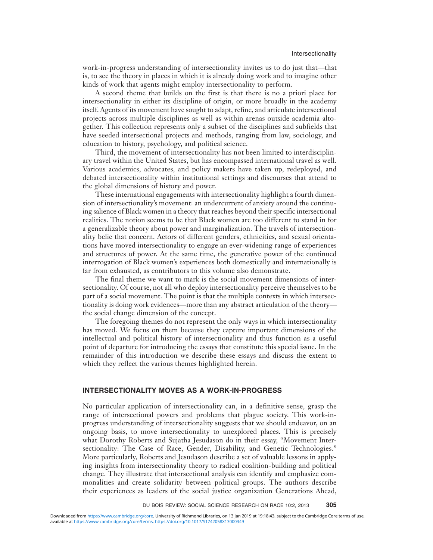work-in-progress understanding of intersectionality invites us to do just that—that is, to see the theory in places in which it is already doing work and to imagine other kinds of work that agents might employ intersectionality to perform.

A second theme that builds on the first is that there is no a priori place for intersectionality in either its discipline of origin, or more broadly in the academy itself. Agents of its movement have sought to adapt, refine, and articulate intersectional projects across multiple disciplines as well as within arenas outside academia altogether. This collection represents only a subset of the disciplines and subfields that have seeded intersectional projects and methods, ranging from law, sociology, and education to history, psychology, and political science.

Third, the movement of intersectionality has not been limited to interdisciplinary travel within the United States, but has encompassed international travel as well. Various academics, advocates, and policy makers have taken up, redeployed, and debated intersectionality within institutional settings and discourses that attend to the global dimensions of history and power.

These international engagements with intersectionality highlight a fourth dimension of intersectionality's movement: an undercurrent of anxiety around the continuing salience of Black women in a theory that reaches beyond their specific intersectional realities. The notion seems to be that Black women are too different to stand in for a generalizable theory about power and marginalization. The travels of intersectionality belie that concern. Actors of different genders, ethnicities, and sexual orientations have moved intersectionality to engage an ever-widening range of experiences and structures of power. At the same time, the generative power of the continued interrogation of Black women's experiences both domestically and internationally is far from exhausted, as contributors to this volume also demonstrate.

The final theme we want to mark is the social movement dimensions of intersectionality. Of course, not all who deploy intersectionality perceive themselves to be part of a social movement. The point is that the multiple contexts in which intersectionality is doing work evidences—more than any abstract articulation of the theory the social change dimension of the concept.

The foregoing themes do not represent the only ways in which intersectionality has moved. We focus on them because they capture important dimensions of the intellectual and political history of intersectionality and thus function as a useful point of departure for introducing the essays that constitute this special issue. In the remainder of this introduction we describe these essays and discuss the extent to which they reflect the various themes highlighted herein.

#### **INTERSECTIONALITY MOVES AS A WORK-IN-PROGRESS**

No particular application of intersectionality can, in a definitive sense, grasp the range of intersectional powers and problems that plague society. This work-inprogress understanding of intersectionality suggests that we should endeavor, on an ongoing basis, to move intersectionality to unexplored places. This is precisely what Dorothy Roberts and Sujatha Jesudason do in their essay, "Movement Intersectionality: The Case of Race, Gender, Disability, and Genetic Technologies." More particularly, Roberts and Jesudason describe a set of valuable lessons in applying insights from intersectionality theory to radical coalition-building and political change. They illustrate that intersectional analysis can identify and emphasize commonalities and create solidarity between political groups. The authors describe their experiences as leaders of the social justice organization Generations Ahead,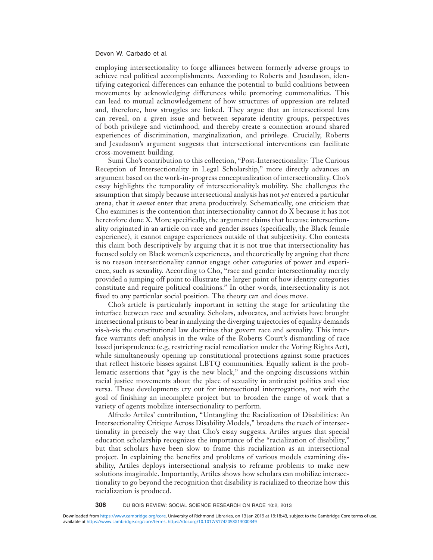employing intersectionality to forge alliances between formerly adverse groups to achieve real political accomplishments. According to Roberts and Jesudason, identifying categorical differences can enhance the potential to build coalitions between movements by acknowledging differences while promoting commonalities. This can lead to mutual acknowledgement of how structures of oppression are related and, therefore, how struggles are linked. They argue that an intersectional lens can reveal, on a given issue and between separate identity groups, perspectives of both privilege and victimhood, and thereby create a connection around shared experiences of discrimination, marginalization, and privilege. Crucially, Roberts and Jesudason's argument suggests that intersectional interventions can facilitate cross-movement building.

Sumi Cho's contribution to this collection, "Post-Intersectionality: The Curious Reception of Intersectionality in Legal Scholarship," more directly advances an argument based on the work-in-progress conceptualization of intersectionality. Cho's essay highlights the temporality of intersectionality's mobility. She challenges the assumption that simply because intersectional analysis has not *yet* entered a particular arena, that it *cannot* enter that arena productively. Schematically, one criticism that Cho examines is the contention that intersectionality cannot do X because it has not heretofore done X. More specifically, the argument claims that because intersectionality originated in an article on race and gender issues (specifically, the Black female experience), it cannot engage experiences outside of that subjectivity. Cho contests this claim both descriptively by arguing that it is not true that intersectionality has focused solely on Black women's experiences, and theoretically by arguing that there is no reason intersectionality cannot engage other categories of power and experience, such as sexuality. According to Cho, "race and gender intersectionality merely provided a jumping off point to illustrate the larger point of how identity categories constitute and require political coalitions." In other words, intersectionality is not fixed to any particular social position. The theory can and does move.

Cho's article is particularly important in setting the stage for articulating the interface between race and sexuality. Scholars, advocates, and activists have brought intersectional prisms to bear in analyzing the diverging trajectories of equality demands vis-à-vis the constitutional law doctrines that govern race and sexuality. This interface warrants deft analysis in the wake of the Roberts Court's dismantling of race based jurisprudence (e.g, restricting racial remediation under the Voting Rights Act), while simultaneously opening up constitutional protections against some practices that reflect historic biases against LBTQ communities. Equally salient is the problematic assertions that "gay is the new black," and the ongoing discussions within racial justice movements about the place of sexuality in antiracist politics and vice versa. These developments cry out for intersectional interrogations, not with the goal of finishing an incomplete project but to broaden the range of work that a variety of agents mobilize intersectionality to perform.

Alfredo Artiles' contribution, "Untangling the Racialization of Disabilities: An Intersectionality Critique Across Disability Models," broadens the reach of intersectionality in precisely the way that Cho's essay suggests. Artiles argues that special education scholarship recognizes the importance of the "racialization of disability," but that scholars have been slow to frame this racialization as an intersectional project. In explaining the benefits and problems of various models examining disability, Artiles deploys intersectional analysis to reframe problems to make new solutions imaginable. Importantly, Artiles shows how scholars can mobilize intersectionality to go beyond the recognition that disability is racialized to theorize how this racialization is produced.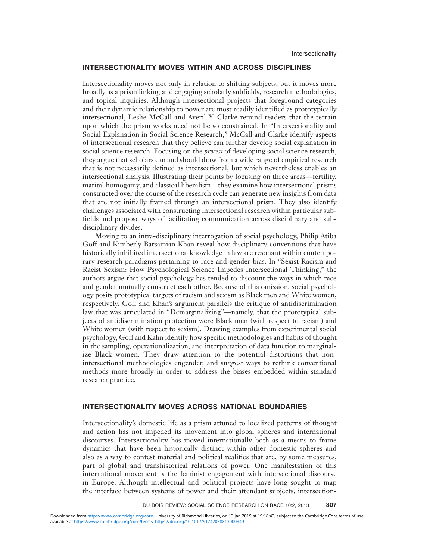# **INTERSECTIONALITY MOVES WITHIN AND ACROSS DISCIPLINES**

Intersectionality moves not only in relation to shifting subjects, but it moves more broadly as a prism linking and engaging scholarly subfields, research methodologies, and topical inquiries. Although intersectional projects that foreground categories and their dynamic relationship to power are most readily identified as prototypically intersectional, Leslie McCall and Averil Y. Clarke remind readers that the terrain upon which the prism works need not be so constrained. In "Intersectionality and Social Explanation in Social Science Research," McCall and Clarke identify aspects of intersectional research that they believe can further develop social explanation in social science research. Focusing on the *process* of developing social science research, they argue that scholars can and should draw from a wide range of empirical research that is not necessarily defined as intersectional, but which nevertheless enables an intersectional analysis. Illustrating their points by focusing on three areas—fertility, marital homogamy, and classical liberalism—they examine how intersectional prisms constructed over the course of the research cycle can generate new insights from data that are not initially framed through an intersectional prism. They also identify challenges associated with constructing intersectional research within particular subfields and propose ways of facilitating communication across disciplinary and subdisciplinary divides.

Moving to an intra-disciplinary interrogation of social psychology, Philip Atiba Goff and Kimberly Barsamian Khan reveal how disciplinary conventions that have historically inhibited intersectional knowledge in law are resonant within contemporary research paradigms pertaining to race and gender bias. In "Sexist Racism and Racist Sexism: How Psychological Science Impedes Intersectional Thinking," the authors argue that social psychology has tended to discount the ways in which race and gender mutually construct each other. Because of this omission, social psychology posits prototypical targets of racism and sexism as Black men and White women, respectively. Goff and Khan's argument parallels the critique of antidiscrimination law that was articulated in "Demarginalizing"—namely, that the prototypical subjects of antidiscrimination protection were Black men (with respect to racism) and White women (with respect to sexism). Drawing examples from experimental social psychology, Goff and Kahn identify how specific methodologies and habits of thought in the sampling, operationalization, and interpretation of data function to marginalize Black women. They draw attention to the potential distortions that nonintersectional methodologies engender, and suggest ways to rethink conventional methods more broadly in order to address the biases embedded within standard research practice.

#### **INTERSECTIONALITY MOVES ACROSS NATIONAL BOUNDARIES**

Intersectionality's domestic life as a prism attuned to localized patterns of thought and action has not impeded its movement into global spheres and international discourses. Intersectionality has moved internationally both as a means to frame dynamics that have been historically distinct within other domestic spheres and also as a way to contest material and political realities that are, by some measures, part of global and transhistorical relations of power. One manifestation of this international movement is the feminist engagement with intersectional discourse in Europe. Although intellectual and political projects have long sought to map the interface between systems of power and their attendant subjects, intersection-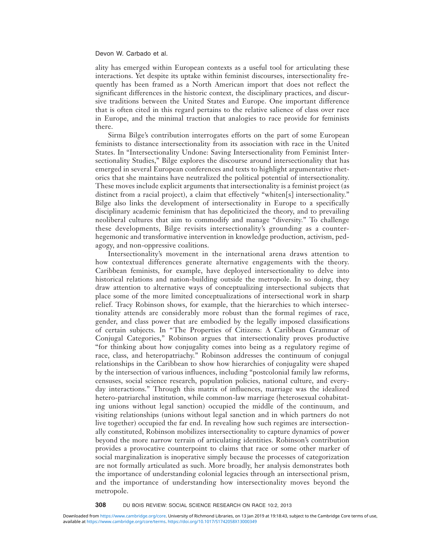ality has emerged within European contexts as a useful tool for articulating these interactions. Yet despite its uptake within feminist discourses, intersectionality frequently has been framed as a North American import that does not reflect the significant differences in the historic context, the disciplinary practices, and discursive traditions between the United States and Europe. One important difference that is often cited in this regard pertains to the relative salience of class over race in Europe, and the minimal traction that analogies to race provide for feminists there.

Sirma Bilge's contribution interrogates efforts on the part of some European feminists to distance intersectionality from its association with race in the United States. In "Intersectionality Undone: Saving Intersectionality from Feminist Intersectionality Studies," Bilge explores the discourse around intersectionality that has emerged in several European conferences and texts to highlight argumentative rhetorics that she maintains have neutralized the political potential of intersectionality. These moves include explicit arguments that intersectionality is a feminist project (as distinct from a racial project), a claim that effectively "whiten[s] intersectionality." Bilge also links the development of intersectionality in Europe to a specifically disciplinary academic feminism that has depoliticized the theory, and to prevailing neoliberal cultures that aim to commodify and manage "diversity." To challenge these developments, Bilge revisits intersectionality's grounding as a counterhegemonic and transformative intervention in knowledge production, activism, pedagogy, and non-oppressive coalitions.

Intersectionality's movement in the international arena draws attention to how contextual differences generate alternative engagements with the theory. Caribbean feminists, for example, have deployed intersectionality to delve into historical relations and nation-building outside the metropole. In so doing, they draw attention to alternative ways of conceptualizing intersectional subjects that place some of the more limited conceptualizations of intersectional work in sharp relief. Tracy Robinson shows, for example, that the hierarchies to which intersectionality attends are considerably more robust than the formal regimes of race, gender, and class power that are embodied by the legally imposed classifications of certain subjects. In "The Properties of Citizens: A Caribbean Grammar of Conjugal Categories," Robinson argues that intersectionality proves productive "for thinking about how conjugality comes into being as a regulatory regime of race, class, and heteropatriachy." Robinson addresses the continuum of conjugal relationships in the Caribbean to show how hierarchies of conjugality were shaped by the intersection of various influences, including "postcolonial family law reforms, censuses, social science research, population policies, national culture, and everyday interactions." Through this matrix of influences, marriage was the idealized hetero-patriarchal institution, while common-law marriage (heterosexual cohabitating unions without legal sanction) occupied the middle of the continuum, and visiting relationships (unions without legal sanction and in which partners do not live together) occupied the far end. In revealing how such regimes are intersectionally constituted, Robinson mobilizes intersectionality to capture dynamics of power beyond the more narrow terrain of articulating identities. Robinson's contribution provides a provocative counterpoint to claims that race or some other marker of social marginalization is inoperative simply because the processes of categorization are not formally articulated as such. More broadly, her analysis demonstrates both the importance of understanding colonial legacies through an intersectional prism, and the importance of understanding how intersectionality moves beyond the metropole.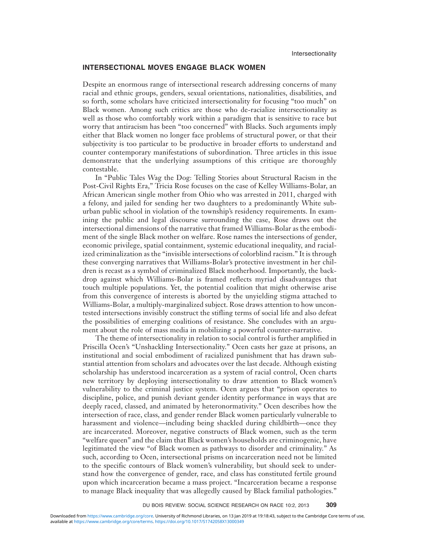#### **INTERSECTIONAL MOVES ENGAGE BLACK WOMEN**

Despite an enormous range of intersectional research addressing concerns of many racial and ethnic groups, genders, sexual orientations, nationalities, disabilities, and so forth, some scholars have criticized intersectionality for focusing "too much" on Black women. Among such critics are those who de-racialize intersectionality as well as those who comfortably work within a paradigm that is sensitive to race but worry that antiracism has been "too concerned" with Blacks. Such arguments imply either that Black women no longer face problems of structural power, or that their subjectivity is too particular to be productive in broader efforts to understand and counter contemporary manifestations of subordination. Three articles in this issue demonstrate that the underlying assumptions of this critique are thoroughly contestable.

In "Public Tales Wag the Dog: Telling Stories about Structural Racism in the Post-Civil Rights Era," Tricia Rose focuses on the case of Kelley Williams-Bolar, an African American single mother from Ohio who was arrested in 2011, charged with a felony, and jailed for sending her two daughters to a predominantly White suburban public school in violation of the township's residency requirements. In examining the public and legal discourse surrounding the case, Rose draws out the intersectional dimensions of the narrative that framed Williams-Bolar as the embodiment of the single Black mother on welfare. Rose names the intersections of gender, economic privilege, spatial containment, systemic educational inequality, and racialized criminalization as the "invisible intersections of colorblind racism." It is through these converging narratives that Williams-Bolar's protective investment in her children is recast as a symbol of criminalized Black motherhood. Importantly, the backdrop against which Williams-Bolar is framed reflects myriad disadvantages that touch multiple populations. Yet, the potential coalition that might otherwise arise from this convergence of interests is aborted by the unyielding stigma attached to Williams-Bolar, a multiply-marginalized subject. Rose draws attention to how uncontested intersections invisibly construct the stifling terms of social life and also defeat the possibilities of emerging coalitions of resistance. She concludes with an argument about the role of mass media in mobilizing a powerful counter-narrative.

The theme of intersectionality in relation to social control is further amplified in Priscilla Ocen's "Unshackling Intersectionality." Ocen casts her gaze at prisons, an institutional and social embodiment of racialized punishment that has drawn substantial attention from scholars and advocates over the last decade. Although existing scholarship has understood incarceration as a system of racial control, Ocen charts new territory by deploying intersectionality to draw attention to Black women's vulnerability to the criminal justice system. Ocen argues that "prison operates to discipline, police, and punish deviant gender identity performance in ways that are deeply raced, classed, and animated by heteronormativity." Ocen describes how the intersection of race, class, and gender render Black women particularly vulnerable to harassment and violence—including being shackled during childbirth—once they are incarcerated. Moreover, negative constructs of Black women, such as the term "welfare queen" and the claim that Black women's households are criminogenic, have legitimated the view "of Black women as pathways to disorder and criminality." As such, according to Ocen, intersectional prisms on incarceration need not be limited to the specific contours of Black women's vulnerability, but should seek to understand how the convergence of gender, race, and class has constituted fertile ground upon which incarceration became a mass project. "Incarceration became a response to manage Black inequality that was allegedly caused by Black familial pathologies."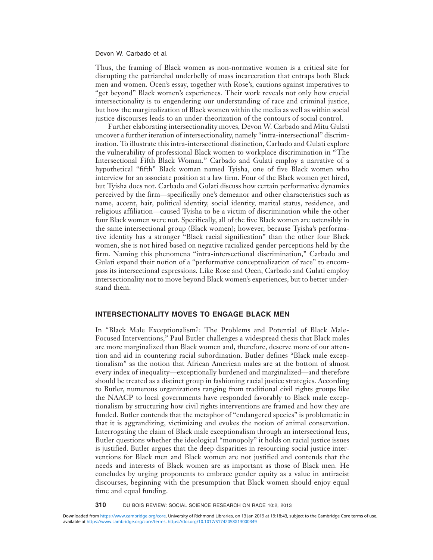#### Devon W. Carbado et al.

Thus, the framing of Black women as non-normative women is a critical site for disrupting the patriarchal underbelly of mass incarceration that entraps both Black men and women. Ocen's essay, together with Rose's, cautions against imperatives to "get beyond" Black women's experiences. Their work reveals not only how crucial intersectionality is to engendering our understanding of race and criminal justice, but how the marginalization of Black women within the media as well as within social justice discourses leads to an under-theorization of the contours of social control.

Further elaborating intersectionality moves, Devon W. Carbado and Mitu Gulati uncover a further iteration of intersectionality, namely "intra-intersectional" discrimination. To illustrate this intra-intersectional distinction, Carbado and Gulati explore the vulnerability of professional Black women to workplace discrimination in "The Intersectional Fifth Black Woman." Carbado and Gulati employ a narrative of a hypothetical "fifth" Black woman named Tyisha, one of five Black women who interview for an associate position at a law firm. Four of the Black women get hired, but Tyisha does not. Carbado and Gulati discuss how certain performative dynamics perceived by the firm—specifically one's demeanor and other characteristics such as name, accent, hair, political identity, social identity, marital status, residence, and religious affiliation—caused Tyisha to be a victim of discrimination while the other four Black women were not. Specifically, all of the five Black women are ostensibly in the same intersectional group (Black women); however, because Tyisha's performative identity has a stronger "Black racial signification" than the other four Black women, she is not hired based on negative racialized gender perceptions held by the firm. Naming this phenomena "intra-intersectional discrimination," Carbado and Gulati expand their notion of a "performative conceptualization of race" to encompass its intersectional expressions. Like Rose and Ocen, Carbado and Gulati employ intersectionality not to move beyond Black women's experiences, but to better understand them.

# **INTERSECTIONALITY MOVES TO ENGAGE BLACK MEN**

In "Black Male Exceptionalism?: The Problems and Potential of Black Male-Focused Interventions," Paul Butler challenges a widespread thesis that Black males are more marginalized than Black women and, therefore, deserve more of our attention and aid in countering racial subordination. Butler defines "Black male exceptionalism" as the notion that African American males are at the bottom of almost every index of inequality—exceptionally burdened and marginalized—and therefore should be treated as a distinct group in fashioning racial justice strategies. According to Butler, numerous organizations ranging from traditional civil rights groups like the NAACP to local governments have responded favorably to Black male exceptionalism by structuring how civil rights interventions are framed and how they are funded. Butler contends that the metaphor of "endangered species" is problematic in that it is aggrandizing, victimizing and evokes the notion of animal conservation. Interrogating the claim of Black male exceptionalism through an intersectional lens, Butler questions whether the ideological "monopoly" it holds on racial justice issues is justified. Butler argues that the deep disparities in resourcing social justice interventions for Black men and Black women are not justified and contends that the needs and interests of Black women are as important as those of Black men. He concludes by urging proponents to embrace gender equity as a value in antiracist discourses, beginning with the presumption that Black women should enjoy equal time and equal funding.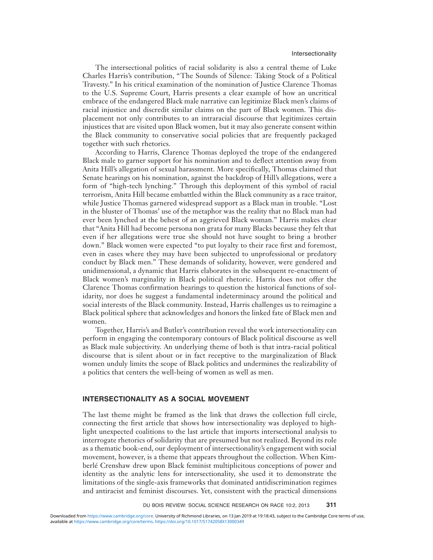The intersectional politics of racial solidarity is also a central theme of Luke Charles Harris's contribution, "The Sounds of Silence: Taking Stock of a Political Travesty." In his critical examination of the nomination of Justice Clarence Thomas to the U.S. Supreme Court, Harris presents a clear example of how an uncritical embrace of the endangered Black male narrative can legitimize Black men's claims of racial injustice and discredit similar claims on the part of Black women. This displacement not only contributes to an intraracial discourse that legitimizes certain injustices that are visited upon Black women, but it may also generate consent within the Black community to conservative social policies that are frequently packaged together with such rhetorics.

According to Harris, Clarence Thomas deployed the trope of the endangered Black male to garner support for his nomination and to deflect attention away from Anita Hill's allegation of sexual harassment. More specifically, Thomas claimed that Senate hearings on his nomination, against the backdrop of Hill's allegations, were a form of "high-tech lynching." Through this deployment of this symbol of racial terrorism, Anita Hill became embattled within the Black community as a race traitor, while Justice Thomas garnered widespread support as a Black man in trouble. "Lost in the bluster of Thomas' use of the metaphor was the reality that no Black man had ever been lynched at the behest of an aggrieved Black woman." Harris makes clear that "Anita Hill had become persona non grata for many Blacks because they felt that even if her allegations were true she should not have sought to bring a brother down." Black women were expected "to put loyalty to their race first and foremost, even in cases where they may have been subjected to unprofessional or predatory conduct by Black men." These demands of solidarity, however, were gendered and unidimensional, a dynamic that Harris elaborates in the subsequent re-enactment of Black women's marginality in Black political rhetoric. Harris does not offer the Clarence Thomas confirmation hearings to question the historical functions of solidarity, nor does he suggest a fundamental indeterminacy around the political and social interests of the Black community. Instead, Harris challenges us to reimagine a Black political sphere that acknowledges and honors the linked fate of Black men and women.

Together, Harris's and Butler's contribution reveal the work intersectionality can perform in engaging the contemporary contours of Black political discourse as well as Black male subjectivity. An underlying theme of both is that intra-racial political discourse that is silent about or in fact receptive to the marginalization of Black women unduly limits the scope of Black politics and undermines the realizability of a politics that centers the well-being of women as well as men.

#### **INTERSECTIONALITY AS A SOCIAL MOVEMENT**

The last theme might be framed as the link that draws the collection full circle, connecting the first article that shows how intersectionality was deployed to highlight unexpected coalitions to the last article that imports intersectional analysis to interrogate rhetorics of solidarity that are presumed but not realized. Beyond its role as a thematic book-end, our deployment of intersectionality's engagement with social movement, however, is a theme that appears throughout the collection. When Kimberlé Crenshaw drew upon Black feminist multiplicitous conceptions of power and identity as the analytic lens for intersectionality, she used it to demonstrate the limitations of the single-axis frameworks that dominated antidiscrimination regimes and antiracist and feminist discourses. Yet, consistent with the practical dimensions